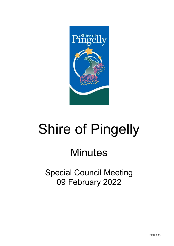

# Shire of Pingelly

## **Minutes**

Special Council Meeting 09 February 2022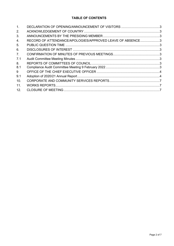#### **TABLE OF CONTENTS**

| 1 <sub>1</sub> |                                                           |  |
|----------------|-----------------------------------------------------------|--|
| 2.             |                                                           |  |
| 3.             |                                                           |  |
| 4.             | RECORD OF ATTENDANCE/APOLOGIES/APPROVED LEAVE OF ABSENCE3 |  |
| 5.             |                                                           |  |
| 6.             |                                                           |  |
| 7 <sub>1</sub> |                                                           |  |
| 7.1            |                                                           |  |
| 8.             |                                                           |  |
| 8.1            |                                                           |  |
| 9              |                                                           |  |
| 9.1            |                                                           |  |
| 10.            |                                                           |  |
| 11.            |                                                           |  |
| 12.            |                                                           |  |
|                |                                                           |  |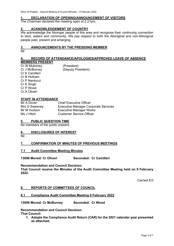Shire of Pingelly – Special Meeting of Council Minutes – 9 February 2022

#### <span id="page-2-0"></span>**1. DECLARATION OF OPENING/ANNOUNCEMENT OF VISITORS**

The Chairman declared the meeting open at 2.21pm.

#### <span id="page-2-1"></span>**2. ACKNOWLEDGEMENT OF COUNTRY**

We acknowledge the Noongar people of this area and recognise their continuing connection to land, waters and community. We pay respect to both the Aboriginal and non-Aboriginal people past, present and emerging.

#### <span id="page-2-2"></span>**3. ANNOUNCEMENTS BY THE PRESIDING MEMBER**

Nil

#### <span id="page-2-3"></span>**4. RECORD OF ATTENDANCE/APOLOGIES/APPROVED LEAVE OF ABSENCE MEMBERS PRESENT**

Cr W Mulroney (President) Cr J McBurney (Deputy President) Cr K Camilleri Cr B Hotham Cr P Narducci Cr K Singh Cr P Wood Cr A Oliveri

### **STAFF IN ATTENDANCE**<br>Mr A Dover

**Chief Executive Officer** Mrs D Sweeney **Executive Manager Corporate Services**<br>Mr M Hudson **Executive Manager Works** Mr M Hudson **Executive Manager Works**<br>
Ms J Hitch **Customer Service Officer Customer Service Officer** 

#### <span id="page-2-4"></span>**5. PUBLIC QUESTION TIME**

No members of the public present.

#### <span id="page-2-5"></span>**6. DISCLOSURES OF INTEREST**

Nil

#### <span id="page-2-6"></span>**7. CONFIRMATION OF MINUTES OF PREVIOUS MEETINGS**

#### <span id="page-2-7"></span>**7.1 Audit Committee Meeting Minutes**

**13098 Moved: Cr Oliveri Seconded: Cr Camilleri** 

#### **Recommendation and Council Decision:**

**That Council receive the Minutes of the Audit Committee Meeting held on 9 February 2022.** 

Carried 8:0

#### <span id="page-2-8"></span>**8. REPORTS OF COMMITTEES OF COUNCIL**

#### <span id="page-2-9"></span>**8.1 Compliance Audit Committee Meeting 9 February 2022**

**13099 Moved: Cr McBurney Seconded: Cr Wood**

**Recommendation and Council Decision: That Council:** 

**1. Adopts the Compliance Audit Return (CAR) for the 2021 calendar year presented as attached;**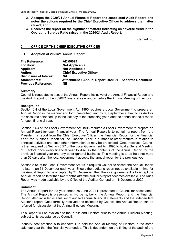- **2. Accepts the 2020/21 Annual Financial Report and associated Audit Report, and notes the actions required by the Chief Executive Officer to address the matter raised; and**
- **3. Receives the report on the significant matters indicating an adverse trend in the Operating Surplus Ratio raised in the 2020/21 Audit Report.**

Carried 8:0

#### <span id="page-3-0"></span>**9 OFFICE OF THE CHIEF EXECUTIVE OFFICER**

#### <span id="page-3-1"></span>**9.1 Adoption of 2020/21 Annual Report**

| <b>File Reference:</b>         | <b>ADM0074</b>                                         |
|--------------------------------|--------------------------------------------------------|
| Location:                      | <b>Not Applicable</b>                                  |
| <b>Applicant:</b>              | <b>Not Applicable</b>                                  |
| Author:                        | <b>Chief Executive Officer</b>                         |
| <b>Disclosure of Interest:</b> | Nil                                                    |
| <b>Attachments:</b>            | Attachment 1 Annual Report 2020/21 - Separate Document |
| <b>Previous Reference:</b>     | Nil                                                    |

#### **Summary**

Council is requested to accept the Annual Report, inclusive of the Annual Financial Report and the Audit Report for the 2020/21 financial year and schedule the Annual Meeting of Electors.

#### **Background**

Section 6.4 of the Local Government Act 1995 requires a Local Government to prepare an Annual Report in the manner and form prescribed, and by 30 September submit to its Auditor the accounts balanced up to the last day of the preceding year, and the annual financial report for each financial year.

Section 5.53 of the Local Government Act 1995 requires a Local Government to prepare an Annual Report for each financial year. The Annual Report is to contain a report from the President, a report from the Chief Executive Officer, the Financial Report for the Financial Year, the Auditor's Report for the Financial Year, a number of other matters in relation to principal activities and such other information as may be prescribed. Once received, Council is then required by Section 5.27 of the Local Government Act 1995 to hold a General Meeting of Electors once every financial year to discuss the contents of the Annual Report for the previous financial year and any other general business. This meeting is to be held not more than 56 days after the local government accepts the annual report for the previous year.

Section 5.54 of the Local Government Act 1995 requires Council to accept the Annual Report no later than 31 December each year. Should the auditor's report not be available in time for the Annual Report to be accepted by 31 December, then the local government is to accept the Annual Report no later than two months after the auditor's report becomes available. The Audit Report was made available by the Office of the Auditor General on 16 December 2020.

#### **Comment**

The Annual Report for the year ended 30 June 2021 is presented to Council for acceptance. The Annual Report is presented in two parts, being the Annual Report, and the Financial Report. Also included is a full set of audited annual financial statements and the Independent Auditor's report. Once formally received and accepted by Council, the Annual Report can be referred for discussion at the Annual Electors' Meeting.

This Report will be available to the Public and Electors prior to the Annual Electors Meeting, subject to its acceptance by Council.

Industry best practice is to endeavour to hold the Annual Meeting of Electors in the same calendar year that the financial year ended. This is dependent on the timing of the audit of the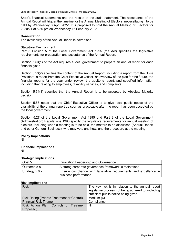Shire's financial statements and the receipt of the audit statement. The acceptance of the Annual Report will trigger the timeline for the Annual Meeting of Electors, necessitating it to be held by Wednesday 6 April 2022. It is proposed to hold the Annual Meeting of Electors for 2020/21 at 5.30 pm on Wednesday 16 February 2022.

#### **Consultation**

The availability of the Annual Report is advertised.

#### **Statutory Environment**

Part 5 Division 5 of the Local Government Act 1995 (the Act) specifies the legislative requirements for preparation and acceptance of the Annual Report.

Section 5.53(1) of the Act requires a local government to prepare an annual report for each financial year.

Section 5.53(2) specifies the content of the Annual Report, including a report from the Shire President, a report from the Chief Executive Officer, an overview of the plan for the future, the financial reports for the year under review, the auditor's report, and specified information including that relating to employees, disability services, and complaints.

Section 5.54(1) specifies that the Annual Report is to be accepted by Absolute Majority decision.

Section 5.55 notes that the Chief Executive Officer is to give local public notice of the availability of the annual report as soon as practicable after the report has been accepted by the local government.

Section 5.27 of the Local Government Act 1995 and Part 3 of the Local Government (Administration) Regulations 1996 specify the legislative requirements for annual meeting of electors, including when a meeting is to be held, the matters to be discussed (Annual Report and other General Business), who may vote and how, and the procedure at the meeting.

#### **Policy Implications** Nil

#### **Financial Implications** Nil

#### **Strategic Implications**

| Goal 5         | Innovation Leadership and Governance                                                      |  |  |  |  |
|----------------|-------------------------------------------------------------------------------------------|--|--|--|--|
| Outcome 5.8    | A strong corporate governance framework is maintained                                     |  |  |  |  |
| Strategy 5.8.2 | Ensure compliance with legislative requirements and excellence in<br>business performance |  |  |  |  |

#### **Risk Implications**

| <b>Risk</b>                                   | The key risk is in relation to the annual report<br>legislative process not being adhered to, including<br>sufficient public notice being given. |
|-----------------------------------------------|--------------------------------------------------------------------------------------------------------------------------------------------------|
| Risk Rating (Prior to Treatment or Control)   | Medium (6)                                                                                                                                       |
| <b>Principal Risk Theme</b>                   | Compliance                                                                                                                                       |
| Risk Action Plan (Controls or Treatment   Nil |                                                                                                                                                  |
| Proposed)                                     |                                                                                                                                                  |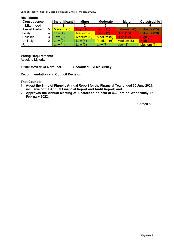Shire of Pingelly – Special Meeting of Council Minutes – 9 February 2022

| <b>Consequence</b>    |   | Insignificant | <b>Minor</b>     | <b>Moderate</b>  | <b>Major</b>     | <b>Catastrophic</b> |
|-----------------------|---|---------------|------------------|------------------|------------------|---------------------|
| Likelihood            |   |               |                  |                  |                  |                     |
| <b>Almost Certain</b> | 5 | Medium (5)    | <b>High (10)</b> | <b>High (15)</b> | Extreme (20)     | Extreme (25)        |
| Likely                |   | Low $(4)$     | Medium (8)       | <b>High (12)</b> | <b>High (16)</b> | Extreme (20)        |
| Possible              | 3 | Low $(3)$     | Medium (6)       | Medium (9)       | <b>High (12)</b> | <b>High (15)</b>    |
| Unlikely              | っ | Low $(2)$     | Low $(4)$        | Medium (6)       | Medium (8)       | <b>High (10)</b>    |
| Rare                  |   | Uow(1)        | Low $(2)$        | Low(3)           | Low $(4)$        | Medium (5)          |

#### **Risk Matrix**

#### **Voting Requirements**

Absolute Majority

**13100 Moved: Cr Narducci Seconded: Cr McBurney**

#### **Recommendation and Council Decision:**

**That Council:** 

- **1. Adopt the Shire of Pingelly Annual Report for the Financial Year ended 30 June 2021, inclusive of the Annual Financial Report and Audit Report; and**
- **2. Approves the Annual Meeting of Electors to be held at 5.30 pm on Wednesday 16 February 2022.**

Carried 8:0